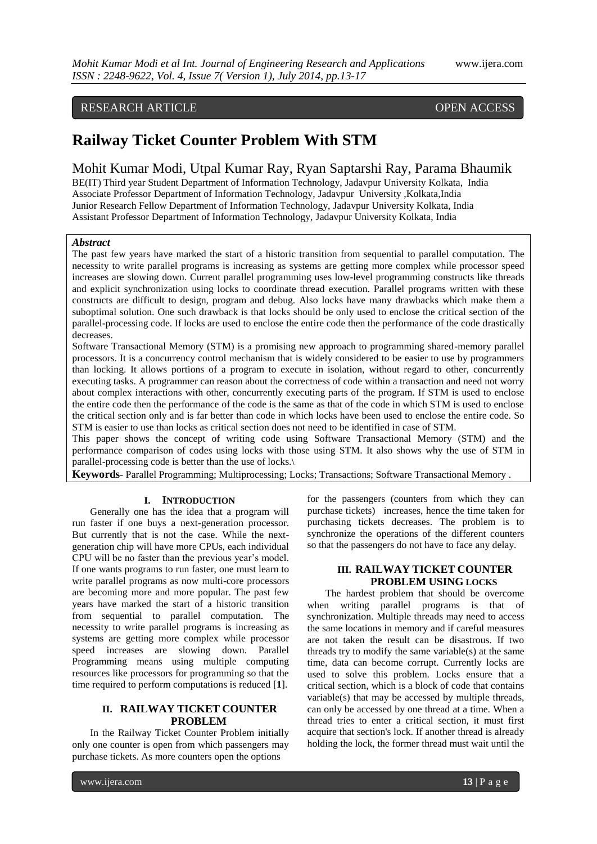# RESEARCH ARTICLE OPEN ACCESS

# **Railway Ticket Counter Problem With STM**

Mohit Kumar Modi, Utpal Kumar Ray, Ryan Saptarshi Ray, Parama Bhaumik

BE(IT) Third year Student Department of Information Technology, Jadavpur University Kolkata, India Associate Professor Department of Information Technology, Jadavpur University ,Kolkata,India Junior Research Fellow Department of Information Technology, Jadavpur University Kolkata, India Assistant Professor Department of Information Technology, Jadavpur University Kolkata, India

#### *Abstract*

The past few years have marked the start of a historic transition from sequential to parallel computation. The necessity to write parallel programs is increasing as systems are getting more complex while processor speed increases are slowing down. Current parallel programming uses low-level programming constructs like threads and explicit synchronization using locks to coordinate thread execution. Parallel programs written with these constructs are difficult to design, program and debug. Also locks have many drawbacks which make them a suboptimal solution. One such drawback is that locks should be only used to enclose the critical section of the parallel-processing code. If locks are used to enclose the entire code then the performance of the code drastically decreases.

Software Transactional Memory (STM) is a promising new approach to programming shared-memory parallel processors. It is a concurrency control mechanism that is widely considered to be easier to use by programmers than locking. It allows portions of a program to execute in isolation, without regard to other, concurrently executing tasks. A programmer can reason about the correctness of code within a transaction and need not worry about complex interactions with other, concurrently executing parts of the program. If STM is used to enclose the entire code then the performance of the code is the same as that of the code in which STM is used to enclose the critical section only and is far better than code in which locks have been used to enclose the entire code. So STM is easier to use than locks as critical section does not need to be identified in case of STM.

This paper shows the concept of writing code using Software Transactional Memory (STM) and the performance comparison of codes using locks with those using STM. It also shows why the use of STM in parallel-processing code is better than the use of locks.\

**Keywords**- Parallel Programming; Multiprocessing; Locks; Transactions; Software Transactional Memory .

#### **I. INTRODUCTION**

Generally one has the idea that a program will run faster if one buys a next-generation processor. But currently that is not the case. While the nextgeneration chip will have more CPUs, each individual CPU will be no faster than the previous year's model. If one wants programs to run faster, one must learn to write parallel programs as now multi-core processors are becoming more and more popular. The past few years have marked the start of a historic transition from sequential to parallel computation. The necessity to write parallel programs is increasing as systems are getting more complex while processor speed increases are slowing down. Parallel Programming means using multiple computing resources like processors for programming so that the time required to perform computations is reduced [**1**].

# **II. RAILWAY TICKET COUNTER PROBLEM**

In the Railway Ticket Counter Problem initially only one counter is open from which passengers may purchase tickets. As more counters open the options

for the passengers (counters from which they can purchase tickets) increases, hence the time taken for purchasing tickets decreases. The problem is to synchronize the operations of the different counters so that the passengers do not have to face any delay.

### **III. RAILWAY TICKET COUNTER PROBLEM USING LOCKS**

The hardest problem that should be overcome when writing parallel programs is that of synchronization. Multiple threads may need to access the same locations in memory and if careful measures are not taken the result can be disastrous. If two threads try to modify the same variable(s) at the same time, data can become corrupt. Currently locks are used to solve this problem. Locks ensure that a critical section, which is a block of code that contains variable(s) that may be accessed by multiple threads, can only be accessed by one thread at a time. When a thread tries to enter a critical section, it must first acquire that section's lock. If another thread is already holding the lock, the former thread must wait until the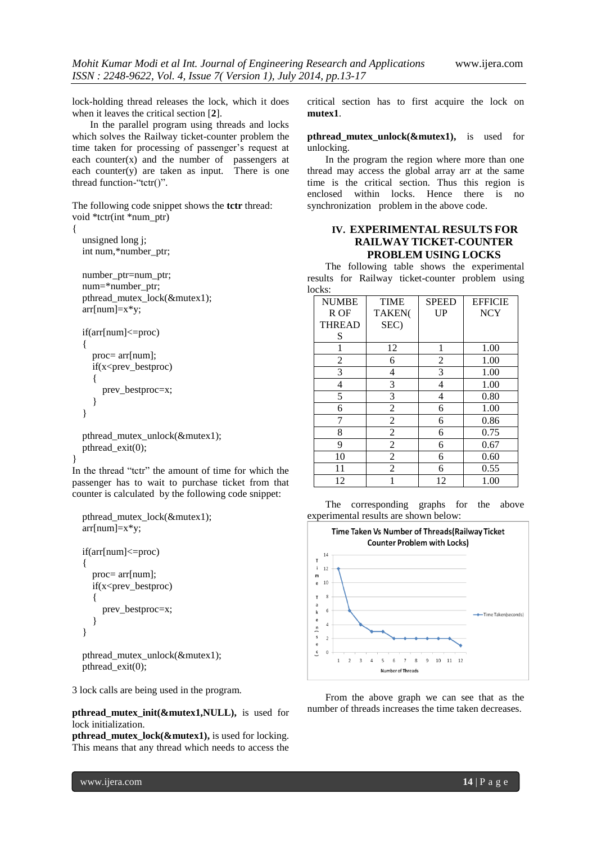lock-holding thread releases the lock, which it does when it leaves the critical section [**2**].

In the parallel program using threads and locks which solves the Railway ticket-counter problem the time taken for processing of passenger's request at each counter $(x)$  and the number of passengers at each counter $(y)$  are taken as input. There is one thread function-"tctr()".

The following code snippet shows the **tctr** thread: void \*tctr(int \*num\_ptr)

```
{
```
}

 unsigned long j; int num,\*number\_ptr;

```
 number_ptr=num_ptr;
 num=*number_ptr;
pthread_mutex_lock(&mutex1);
 arr[num]=x*y;
```

```
 if(arr[num]<=proc)
 {
   proc= arr[num];
   if(x<prev_bestproc)
   {
      prev_bestproc=x;
   }
 }
```

```
 pthread_mutex_unlock(&mutex1);
 pthread_exit(0);
```
In the thread "tctr" the amount of time for which the passenger has to wait to purchase ticket from that counter is calculated by the following code snippet:

```
 pthread_mutex_lock(&mutex1);
arr[num]=x*y; if(arr[num]<=proc)
 {
   proc= arr[num];
   if(x<prev_bestproc)
   {
      prev_bestproc=x;
   }
 }
```
pthread\_mutex\_unlock(&mutex1); pthread\_exit(0);

3 lock calls are being used in the program.

#### **pthread\_mutex\_init(&mutex1,NULL),** is used for lock initialization.

**pthread\_mutex\_lock(&mutex1),** is used for locking. This means that any thread which needs to access the critical section has to first acquire the lock on **mutex1**.

**pthread\_mutex\_unlock(&mutex1),** is used for unlocking.

In the program the region where more than one thread may access the global array arr at the same time is the critical section. Thus this region is enclosed within locks. Hence there is no synchronization problem in the above code.

# **IV. EXPERIMENTAL RESULTS FOR RAILWAY TICKET-COUNTER PROBLEM USING LOCKS**

The following table shows the experimental results for Railway ticket-counter problem using locks:

| <b>NUMBE</b>   | <b>TIME</b>    | <b>SPEED</b> | <b>EFFICIE</b> |
|----------------|----------------|--------------|----------------|
| R OF           | TAKEN(         | <b>UP</b>    | <b>NCY</b>     |
| <b>THREAD</b>  | SEC)           |              |                |
| S              |                |              |                |
| 1              | 12             | 1            | 1.00           |
| $\overline{2}$ | 6              | 2            | 1.00           |
| 3              | 4              | 3            | 1.00           |
| 4              | 3              | 4            | 1.00           |
| 5              | 3              | 4            | 0.80           |
| 6              | $\overline{2}$ | 6            | 1.00           |
| 7              | $\overline{2}$ | 6            | 0.86           |
| 8              | $\overline{2}$ | 6            | 0.75           |
| 9              | $\overline{2}$ | 6            | 0.67           |
| 10             | $\overline{2}$ | 6            | 0.60           |
| 11             | 2              | 6            | 0.55           |
| 12             |                | 12           | 1.00           |

The corresponding graphs for the above experimental results are shown below:



From the above graph we can see that as the number of threads increases the time taken decreases.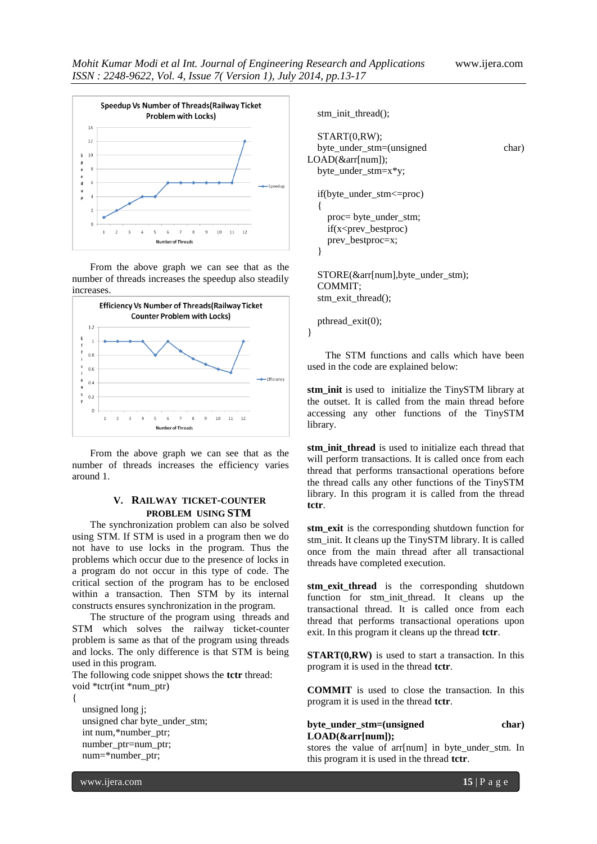

From the above graph we can see that as the number of threads increases the speedup also steadily increases.



From the above graph we can see that as the number of threads increases the efficiency varies around 1.

# **V. RAILWAY TICKET-COUNTER PROBLEM USING STM**

The synchronization problem can also be solved using STM. If STM is used in a program then we do not have to use locks in the program. Thus the problems which occur due to the presence of locks in a program do not occur in this type of code. The critical section of the program has to be enclosed within a transaction. Then STM by its internal constructs ensures synchronization in the program.

The structure of the program using threads and STM which solves the railway ticket-counter problem is same as that of the program using threads and locks. The only difference is that STM is being used in this program.

The following code snippet shows the **tctr** thread: void \*tctr(int \*num\_ptr)

 unsigned long j; unsigned char byte\_under\_stm; int num,\*number\_ptr; number\_ptr=num\_ptr; num=\*number\_ptr;

```
 stm_init_thread();
   START(0,RW);
   byte_under_stm=(unsigned char) 
LOAD(&arr[num]);
  byte under stm=x*y; if(byte_under_stm<=proc)
   {
     proc= byte_under_stm;
     if(x<prev_bestproc)
     prev_bestproc=x;
   }
   STORE(&arr[num],byte_under_stm);
   COMMIT;
   stm_exit_thread();
```
The STM functions and calls which have been used in the code are explained below:

pthread\_exit(0);

}

**stm\_init** is used to initialize the TinySTM library at the outset. It is called from the main thread before accessing any other functions of the TinySTM library.

stm init thread is used to initialize each thread that will perform transactions. It is called once from each thread that performs transactional operations before the thread calls any other functions of the TinySTM library. In this program it is called from the thread **tctr**.

**stm\_exit** is the corresponding shutdown function for stm\_init. It cleans up the TinySTM library. It is called once from the main thread after all transactional threads have completed execution.

**stm\_exit\_thread** is the corresponding shutdown function for stm\_init\_thread. It cleans up the transactional thread. It is called once from each thread that performs transactional operations upon exit. In this program it cleans up the thread **tctr**.

**START(0,RW)** is used to start a transaction. In this program it is used in the thread **tctr**.

**COMMIT** is used to close the transaction. In this program it is used in the thread **tctr**.

#### **byte\_under\_stm=(unsigned char) LOAD(&arr[num]);**

stores the value of arr[num] in byte\_under\_stm. In this program it is used in the thread **tctr**.

www.ijera.com **15** | P a g e

{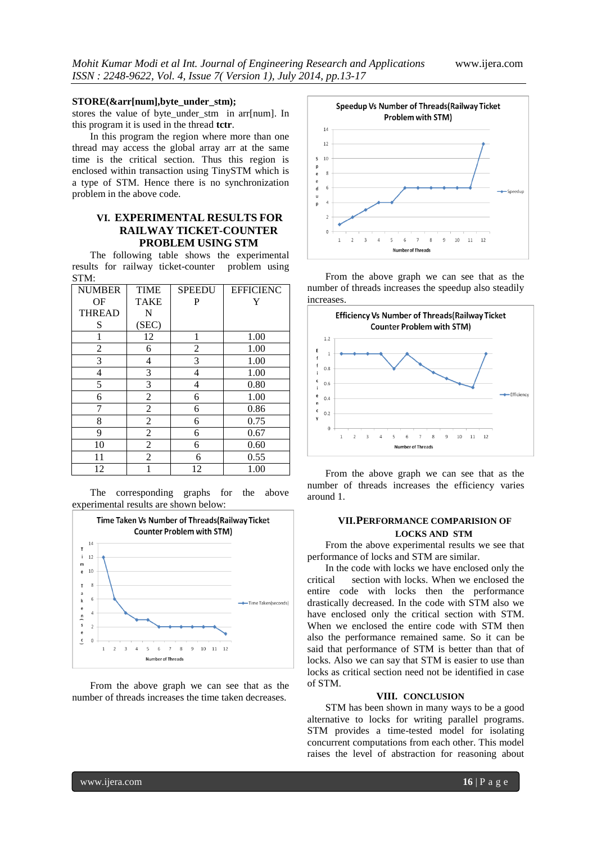#### **STORE(&arr[num],byte\_under\_stm);**

stores the value of byte\_under\_stm in arr[num]. In this program it is used in the thread **tctr**.

In this program the region where more than one thread may access the global array arr at the same time is the critical section. Thus this region is enclosed within transaction using TinySTM which is a type of STM. Hence there is no synchronization problem in the above code.

# **VI. EXPERIMENTAL RESULTS FOR RAILWAY TICKET-COUNTER PROBLEM USING STM**

The following table shows the experimental results for railway ticket-counter problem using STM:

| <b>NUMBER</b> | <b>TIME</b>    | <b>SPEEDU</b> | <b>EFFICIENC</b> |
|---------------|----------------|---------------|------------------|
| OF            | <b>TAKE</b>    | P             | Y                |
| <b>THREAD</b> | N              |               |                  |
| S             | (SEC)          |               |                  |
| 1             | 12             | 1             | 1.00             |
| 2             | 6              | 2             | 1.00             |
| 3             | 4              | 3             | 1.00             |
| 4             | 3              | 4             | 1.00             |
| 5             | 3              | 4             | 0.80             |
| 6             | $\overline{c}$ | 6             | 1.00             |
| 7             | $\overline{2}$ | 6             | 0.86             |
| 8             | $\overline{c}$ | 6             | 0.75             |
| 9             | $\overline{2}$ | 6             | 0.67             |
| 10            | 2              | 6             | 0.60             |
| 11            | $\overline{2}$ | 6             | 0.55             |
| 12            | 1              | 12            | 1.00             |

The corresponding graphs for the above experimental results are shown below:



From the above graph we can see that as the number of threads increases the time taken decreases.



From the above graph we can see that as the number of threads increases the speedup also steadily increases.



From the above graph we can see that as the number of threads increases the efficiency varies around 1.

### **VII.PERFORMANCE COMPARISION OF LOCKS AND STM**

From the above experimental results we see that performance of locks and STM are similar.

In the code with locks we have enclosed only the critical section with locks. When we enclosed the entire code with locks then the performance drastically decreased. In the code with STM also we have enclosed only the critical section with STM. When we enclosed the entire code with STM then also the performance remained same. So it can be said that performance of STM is better than that of locks. Also we can say that STM is easier to use than locks as critical section need not be identified in case of STM.

#### **VIII. CONCLUSION**

STM has been shown in many ways to be a good alternative to locks for writing parallel programs. STM provides a time-tested model for isolating concurrent computations from each other. This model raises the level of abstraction for reasoning about